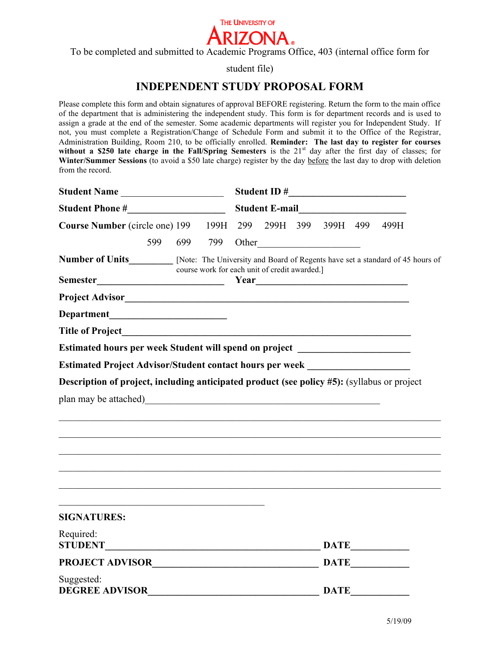

To be completed and submitted to Academic Programs Office, 403 (internal office form for

student file)

# **INDEPENDENT STUDY PROPOSAL FORM**

Please complete this form and obtain signatures of approval BEFORE registering. Return the form to the main office of the department that is administering the independent study. This form is for department records and is used to assign a grade at the end of the semester. Some academic departments will register you for Independent Study. If not, you must complete a Registration/Change of Schedule Form and submit it to the Office of the Registrar, Administration Building, Room 210, to be officially enrolled. **Reminder: The last day to register for courses**  without a \$250 late charge in the Fall/Spring Semesters is the 21<sup>st</sup> day after the first day of classes; for **Winter/Summer Sessions** (to avoid a \$50 late charge) register by the day before the last day to drop with deletion from the record.

|                                                                                                                                                                                                                                      |  |                                               |  | Student E-mail<br><u>Letter and the subset of the set of the set of the set of the set of the set of the set of the set of the set of the set of the set of the set of the set of the set of the set of the set of the set of the </u> |  |             |  |                          |  |
|--------------------------------------------------------------------------------------------------------------------------------------------------------------------------------------------------------------------------------------|--|-----------------------------------------------|--|----------------------------------------------------------------------------------------------------------------------------------------------------------------------------------------------------------------------------------------|--|-------------|--|--------------------------|--|
|                                                                                                                                                                                                                                      |  |                                               |  |                                                                                                                                                                                                                                        |  |             |  |                          |  |
| Number of Units<br>[Note: The University and Board of Regents have set a standard of 45 hours of                                                                                                                                     |  | course work for each unit of credit awarded.] |  |                                                                                                                                                                                                                                        |  |             |  |                          |  |
| Project Advisor <u>Sandbook and the set of the set of the set of the set of the set of the set of the set of the set of the set of the set of the set of the set of the set of the set of the set of the set of the set of the s</u> |  |                                               |  |                                                                                                                                                                                                                                        |  |             |  |                          |  |
|                                                                                                                                                                                                                                      |  |                                               |  |                                                                                                                                                                                                                                        |  |             |  |                          |  |
|                                                                                                                                                                                                                                      |  |                                               |  |                                                                                                                                                                                                                                        |  |             |  |                          |  |
| Estimated hours per week Student will spend on project _________________________                                                                                                                                                     |  |                                               |  |                                                                                                                                                                                                                                        |  |             |  |                          |  |
| Estimated Project Advisor/Student contact hours per week _______________________                                                                                                                                                     |  |                                               |  |                                                                                                                                                                                                                                        |  |             |  |                          |  |
| plan may be attached)                                                                                                                                                                                                                |  |                                               |  |                                                                                                                                                                                                                                        |  |             |  |                          |  |
| <b>SIGNATURES:</b>                                                                                                                                                                                                                   |  |                                               |  |                                                                                                                                                                                                                                        |  |             |  |                          |  |
| Required:                                                                                                                                                                                                                            |  |                                               |  |                                                                                                                                                                                                                                        |  |             |  | $\overline{\text{DATE}}$ |  |
|                                                                                                                                                                                                                                      |  |                                               |  |                                                                                                                                                                                                                                        |  |             |  |                          |  |
| Suggested:<br><b>DEGREE ADVISOR</b>                                                                                                                                                                                                  |  |                                               |  |                                                                                                                                                                                                                                        |  | <b>DATE</b> |  |                          |  |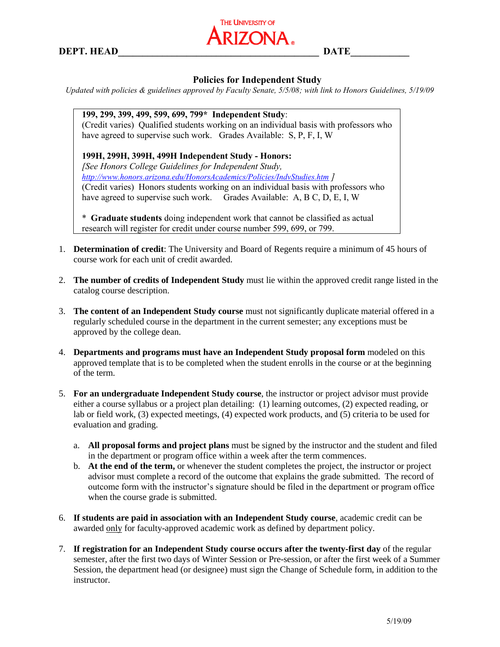**DEPT. HEAD\_\_\_\_\_\_\_\_\_\_\_\_\_\_\_\_\_\_\_\_\_\_\_\_\_\_\_\_\_\_\_\_\_\_\_\_\_\_\_\_\_ DATE\_\_\_\_\_\_\_\_\_\_\_\_**



### **Policies for Independent Study**

*Updated with policies & guidelines approved by Faculty Senate, 5/5/08; with link to Honors Guidelines, 5/19/09*

# **199, 299, 399, 499, 599, 699, 799\* Independent Study**:

(Credit varies) Qualified students working on an individual basis with professors who have agreed to supervise such work. Grades Available: S, P, F, I, W

#### **199H, 299H, 399H, 499H Independent Study - Honors:**

*[See Honors College Guidelines for Independent Study, <http://www.honors.arizona.edu/HonorsAcademics/Policies/IndvStudies.htm> ]* (Credit varies) Honors students working on an individual basis with professors who have agreed to supervise such work. Grades Available: A, B C, D, E, I, W

\* **Graduate students** doing independent work that cannot be classified as actual research will register for credit under course number 599, 699, or 799.

- 1. **Determination of credit**: The University and Board of Regents require a minimum of 45 hours of course work for each unit of credit awarded.
- 2. **The number of credits of Independent Study** must lie within the approved credit range listed in the catalog course description.
- 3. **The content of an Independent Study course** must not significantly duplicate material offered in a regularly scheduled course in the department in the current semester; any exceptions must be approved by the college dean.
- 4. **Departments and programs must have an Independent Study proposal form** modeled on this approved template that is to be completed when the student enrolls in the course or at the beginning of the term.
- 5. **For an undergraduate Independent Study course**, the instructor or project advisor must provide either a course syllabus or a project plan detailing: (1) learning outcomes, (2) expected reading, or lab or field work, (3) expected meetings, (4) expected work products, and (5) criteria to be used for evaluation and grading.
	- a. **All proposal forms and project plans** must be signed by the instructor and the student and filed in the department or program office within a week after the term commences.
	- b. **At the end of the term,** or whenever the student completes the project, the instructor or project advisor must complete a record of the outcome that explains the grade submitted. The record of outcome form with the instructor's signature should be filed in the department or program office when the course grade is submitted.
- 6. **If students are paid in association with an Independent Study course**, academic credit can be awarded only for faculty-approved academic work as defined by department policy.
- 7. **If registration for an Independent Study course occurs after the twenty-first day** of the regular semester, after the first two days of Winter Session or Pre-session, or after the first week of a Summer Session, the department head (or designee) must sign the Change of Schedule form, in addition to the instructor.